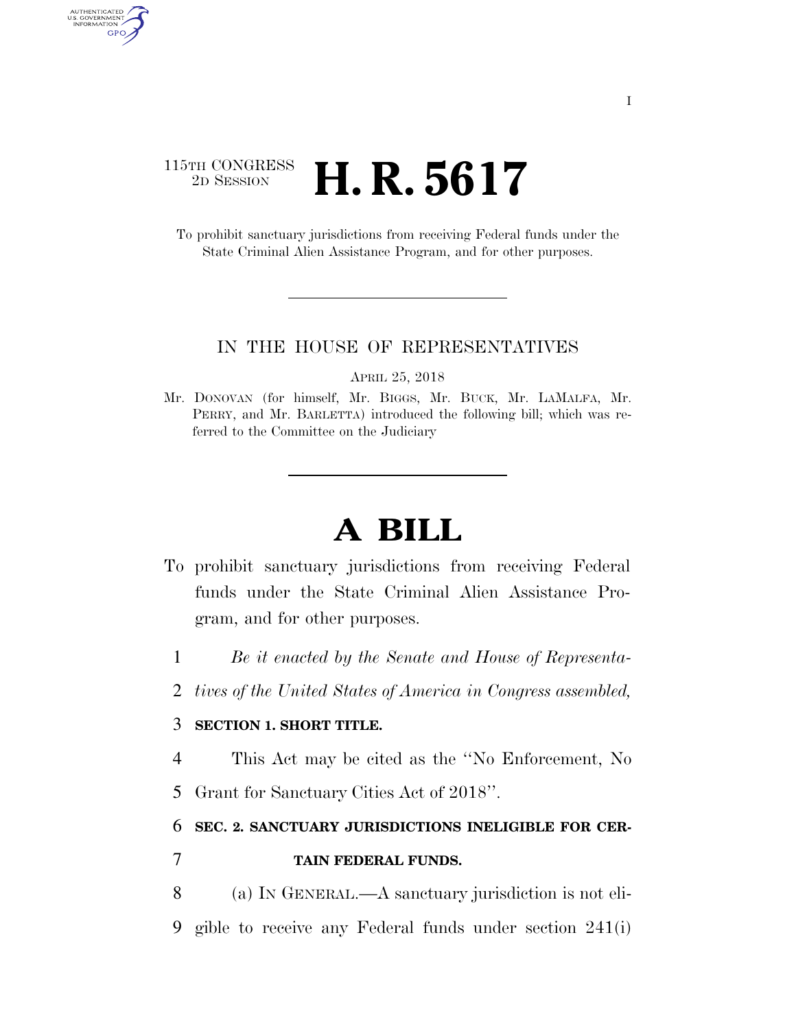### 115TH CONGRESS <sup>2D SESSION</sup> **H. R. 5617**

AUTHENTICATED<br>U.S. GOVERNMENT<br>INFORMATION

GPO

To prohibit sanctuary jurisdictions from receiving Federal funds under the State Criminal Alien Assistance Program, and for other purposes.

#### IN THE HOUSE OF REPRESENTATIVES

APRIL 25, 2018

Mr. DONOVAN (for himself, Mr. BIGGS, Mr. BUCK, Mr. LAMALFA, Mr. PERRY, and Mr. BARLETTA) introduced the following bill; which was referred to the Committee on the Judiciary

# **A BILL**

- To prohibit sanctuary jurisdictions from receiving Federal funds under the State Criminal Alien Assistance Program, and for other purposes.
	- 1 *Be it enacted by the Senate and House of Representa-*
	- 2 *tives of the United States of America in Congress assembled,*

### 3 **SECTION 1. SHORT TITLE.**

- 4 This Act may be cited as the ''No Enforcement, No
- 5 Grant for Sanctuary Cities Act of 2018''.

## 6 **SEC. 2. SANCTUARY JURISDICTIONS INELIGIBLE FOR CER-**7 **TAIN FEDERAL FUNDS.**

- 8 (a) IN GENERAL.—A sanctuary jurisdiction is not eli-
- 9 gible to receive any Federal funds under section 241(i)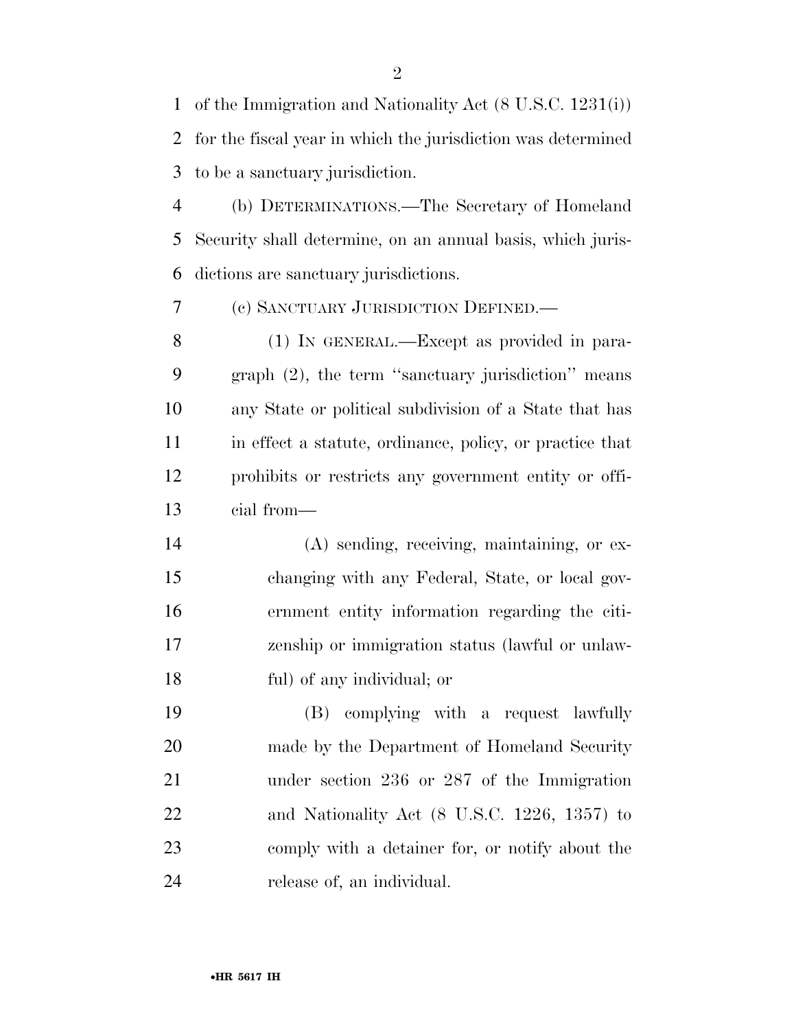of the Immigration and Nationality Act (8 U.S.C. 1231(i)) for the fiscal year in which the jurisdiction was determined to be a sanctuary jurisdiction.

 (b) DETERMINATIONS.—The Secretary of Homeland Security shall determine, on an annual basis, which juris-dictions are sanctuary jurisdictions.

(c) SANCTUARY JURISDICTION DEFINED.—

 (1) IN GENERAL.—Except as provided in para- graph (2), the term ''sanctuary jurisdiction'' means any State or political subdivision of a State that has in effect a statute, ordinance, policy, or practice that prohibits or restricts any government entity or offi-cial from—

 (A) sending, receiving, maintaining, or ex- changing with any Federal, State, or local gov- ernment entity information regarding the citi- zenship or immigration status (lawful or unlaw-ful) of any individual; or

 (B) complying with a request lawfully made by the Department of Homeland Security under section 236 or 287 of the Immigration and Nationality Act (8 U.S.C. 1226, 1357) to comply with a detainer for, or notify about the release of, an individual.